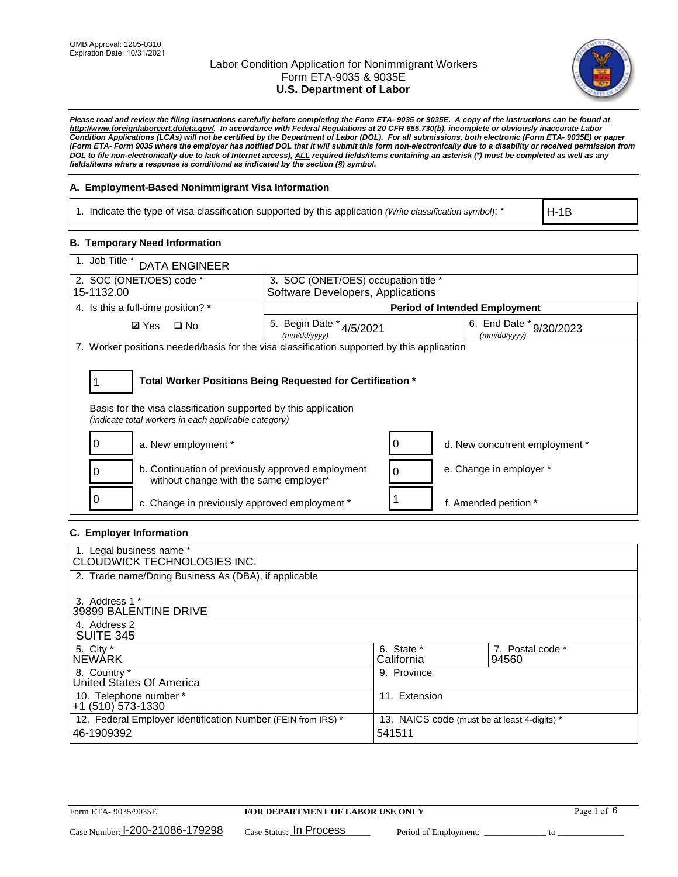

*Please read and review the filing instructions carefully before completing the Form ETA- 9035 or 9035E. A copy of the instructions can be found at [http://www.foreignlaborcert.doleta.gov/.](http://www.foreignlaborcert.doleta.gov/) In accordance with Federal Regulations at 20 CFR 655.730(b), incomplete or obviously inaccurate Labor Condition Applications (LCAs) will not be certified by the Department of Labor (DOL). For all submissions, both electronic (Form ETA- 9035E) or paper (Form ETA- Form 9035 where the employer has notified DOL that it will submit this form non-electronically due to a disability or received permission from DOL to file non-electronically due to lack of Internet access), ALL required fields/items containing an asterisk (\*) must be completed as well as any fields/items where a response is conditional as indicated by the section (§) symbol.* 

## **A. Employment-Based Nonimmigrant Visa Information**

1. Indicate the type of visa classification supported by this application *(Write classification symbol)*: \*

H-1B

## **B. Temporary Need Information**

| 1. Job Title *<br><b>DATA ENGINEER</b>                                                                                                                                                |                                          |                                         |  |  |  |  |  |
|---------------------------------------------------------------------------------------------------------------------------------------------------------------------------------------|------------------------------------------|-----------------------------------------|--|--|--|--|--|
| 2. SOC (ONET/OES) code *<br>3. SOC (ONET/OES) occupation title *<br>Software Developers, Applications<br>15-1132.00                                                                   |                                          |                                         |  |  |  |  |  |
|                                                                                                                                                                                       |                                          |                                         |  |  |  |  |  |
| 4. Is this a full-time position? *                                                                                                                                                    | <b>Period of Intended Employment</b>     |                                         |  |  |  |  |  |
| <b>Ø</b> Yes<br>$\Box$ No                                                                                                                                                             | 5. Begin Date * 4/5/2021<br>(mm/dd/yyyy) | 6. End Date * 9/30/2023<br>(mm/dd/yyyy) |  |  |  |  |  |
| 7. Worker positions needed/basis for the visa classification supported by this application                                                                                            |                                          |                                         |  |  |  |  |  |
| Total Worker Positions Being Requested for Certification *<br>Basis for the visa classification supported by this application<br>(indicate total workers in each applicable category) |                                          |                                         |  |  |  |  |  |
| O<br>a. New employment *                                                                                                                                                              | O                                        | d. New concurrent employment *          |  |  |  |  |  |
| b. Continuation of previously approved employment<br>without change with the same employer*                                                                                           | $\Omega$                                 | e. Change in employer *                 |  |  |  |  |  |
| c. Change in previously approved employment *                                                                                                                                         |                                          | f. Amended petition *                   |  |  |  |  |  |

### **C. Employer Information**

| 1. Legal business name *<br>CLOUDWICK TECHNOLOGIES INC.                    |                                                        |                           |
|----------------------------------------------------------------------------|--------------------------------------------------------|---------------------------|
| 2. Trade name/Doing Business As (DBA), if applicable                       |                                                        |                           |
| 3. Address 1 *<br>39899 BALENTINE DRIVE                                    |                                                        |                           |
| 4. Address 2<br><b>SUITE 345</b>                                           |                                                        |                           |
| 5. City *<br><b>NEWARK</b>                                                 | 6. State *<br>California                               | 7. Postal code *<br>94560 |
| 8. Country *<br>United States Of America                                   | 9. Province                                            |                           |
| 10. Telephone number *<br>$+1$ (510) 573-1330                              | 11. Extension                                          |                           |
| 12. Federal Employer Identification Number (FEIN from IRS) *<br>46-1909392 | 13. NAICS code (must be at least 4-digits) *<br>541511 |                           |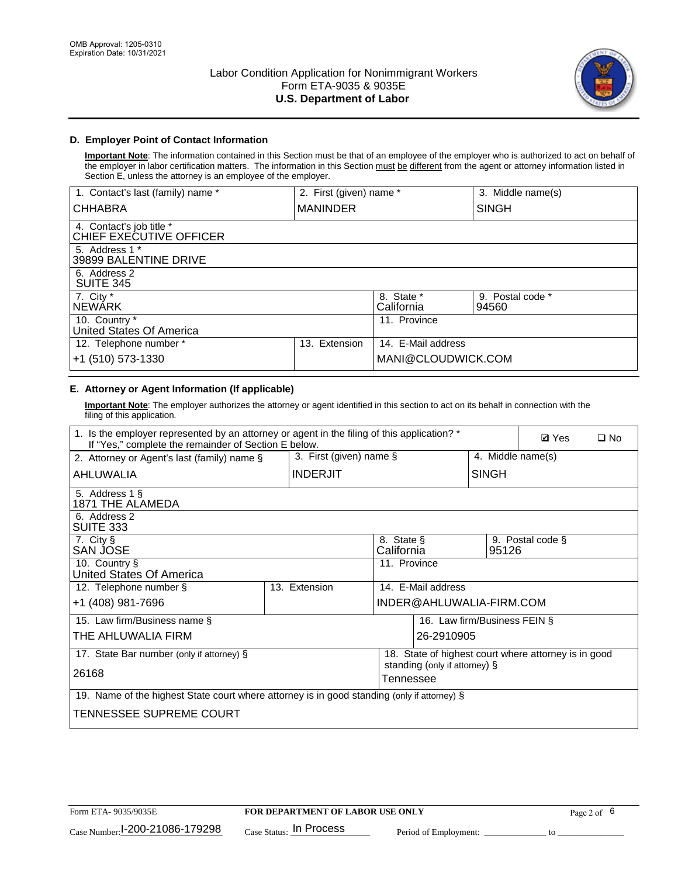

## **D. Employer Point of Contact Information**

**Important Note**: The information contained in this Section must be that of an employee of the employer who is authorized to act on behalf of the employer in labor certification matters. The information in this Section must be different from the agent or attorney information listed in Section E, unless the attorney is an employee of the employer.

| 1. Contact's last (family) name *                   | 2. First (given) name * |                          | 3. Middle name(s)         |
|-----------------------------------------------------|-------------------------|--------------------------|---------------------------|
| <b>CHHABRA</b>                                      | <b>MANINDER</b>         |                          | <b>SINGH</b>              |
| 4. Contact's job title *<br>CHIEF EXECUTIVE OFFICER |                         |                          |                           |
| 5. Address 1 *<br>39899 BALENTINE DRIVE             |                         |                          |                           |
| 6. Address 2<br><b>SUITE 345</b>                    |                         |                          |                           |
| 7. City *<br><b>NEWÁRK</b>                          |                         | 8. State *<br>California | 9. Postal code *<br>94560 |
| 10. Country *<br>United States Of America           |                         | 11. Province             |                           |
| 12. Telephone number *                              | Extension<br>13.        | 14. E-Mail address       |                           |
| +1 (510) 573-1330                                   |                         | MANI@CLOUDWICK.COM       |                           |

# **E. Attorney or Agent Information (If applicable)**

**Important Note**: The employer authorizes the attorney or agent identified in this section to act on its behalf in connection with the filing of this application.

| 1. Is the employer represented by an attorney or agent in the filing of this application? *<br>If "Yes," complete the remainder of Section E below. |  |                            |                          |                               |              | <b>Ø</b> Yes<br>$\Box$ No                            |
|-----------------------------------------------------------------------------------------------------------------------------------------------------|--|----------------------------|--------------------------|-------------------------------|--------------|------------------------------------------------------|
| 2. Attorney or Agent's last (family) name §                                                                                                         |  | 3. First (given) name $\S$ |                          |                               |              | 4. Middle name(s)                                    |
| AHLUWALIA                                                                                                                                           |  | <b>INDERJIT</b>            |                          |                               | <b>SINGH</b> |                                                      |
| 5. Address 1 §<br>1871 THE ALAMEDA                                                                                                                  |  |                            |                          |                               |              |                                                      |
| 6. Address 2<br>SUITE 333                                                                                                                           |  |                            |                          |                               |              |                                                      |
| 7. City §<br>SAN JOSE                                                                                                                               |  |                            | 8. State §<br>California |                               | 95126        | 9. Postal code §                                     |
| 10. Country §<br>United States Of America                                                                                                           |  |                            | 11. Province             |                               |              |                                                      |
| 12. Telephone number §                                                                                                                              |  | 13. Extension              |                          | 14. E-Mail address            |              |                                                      |
| +1 (408) 981-7696                                                                                                                                   |  |                            |                          | INDER@AHLUWALIA-FIRM.COM      |              |                                                      |
| 15. Law firm/Business name §                                                                                                                        |  |                            |                          | 16. Law firm/Business FEIN §  |              |                                                      |
| THE AHLUWALIA FIRM                                                                                                                                  |  |                            |                          | 26-2910905                    |              |                                                      |
| 17. State Bar number (only if attorney) §                                                                                                           |  |                            |                          |                               |              | 18. State of highest court where attorney is in good |
| 26168                                                                                                                                               |  |                            | Tennessee                | standing (only if attorney) § |              |                                                      |
| 19. Name of the highest State court where attorney is in good standing (only if attorney) §                                                         |  |                            |                          |                               |              |                                                      |
| TENNESSEE SUPREME COURT                                                                                                                             |  |                            |                          |                               |              |                                                      |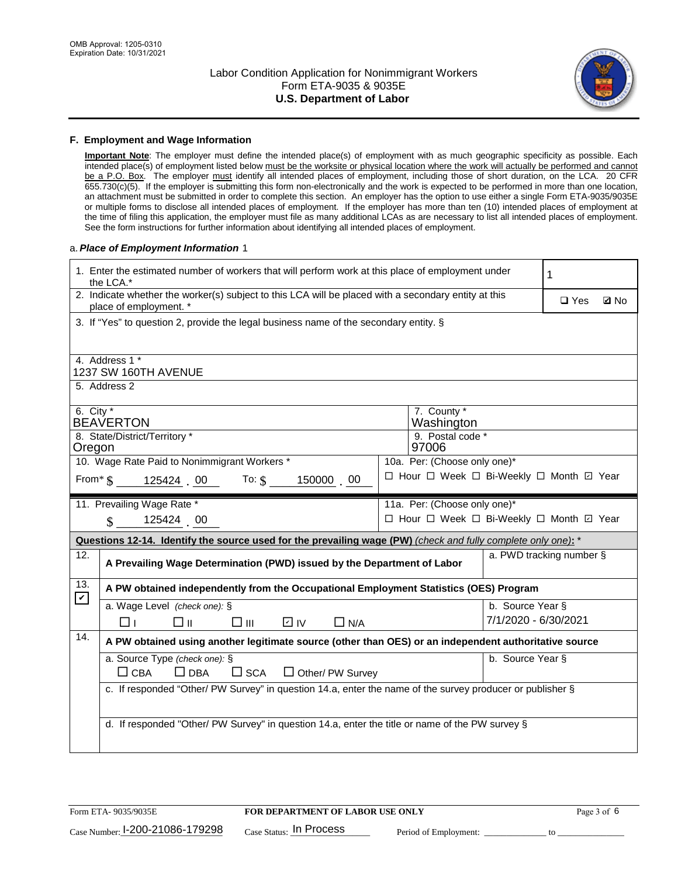

#### **F. Employment and Wage Information**

**Important Note**: The employer must define the intended place(s) of employment with as much geographic specificity as possible. Each intended place(s) of employment listed below must be the worksite or physical location where the work will actually be performed and cannot be a P.O. Box. The employer must identify all intended places of employment, including those of short duration, on the LCA. 20 CFR 655.730(c)(5). If the employer is submitting this form non-electronically and the work is expected to be performed in more than one location, an attachment must be submitted in order to complete this section. An employer has the option to use either a single Form ETA-9035/9035E or multiple forms to disclose all intended places of employment. If the employer has more than ten (10) intended places of employment at the time of filing this application, the employer must file as many additional LCAs as are necessary to list all intended places of employment. See the form instructions for further information about identifying all intended places of employment.

### a.*Place of Employment Information* 1

|                                                                                                 | 1. Enter the estimated number of workers that will perform work at this place of employment under<br>the LCA.*                 |  | 1                                        |                  |                          |             |  |  |  |
|-------------------------------------------------------------------------------------------------|--------------------------------------------------------------------------------------------------------------------------------|--|------------------------------------------|------------------|--------------------------|-------------|--|--|--|
|                                                                                                 | 2. Indicate whether the worker(s) subject to this LCA will be placed with a secondary entity at this<br>place of employment. * |  |                                          |                  | $\square$ Yes            | <b>Z</b> No |  |  |  |
|                                                                                                 | 3. If "Yes" to question 2, provide the legal business name of the secondary entity. §                                          |  |                                          |                  |                          |             |  |  |  |
|                                                                                                 | 4. Address 1 *                                                                                                                 |  |                                          |                  |                          |             |  |  |  |
|                                                                                                 | 1237 SW 160TH AVENUE                                                                                                           |  |                                          |                  |                          |             |  |  |  |
|                                                                                                 | 5. Address 2                                                                                                                   |  |                                          |                  |                          |             |  |  |  |
|                                                                                                 | 6. City $*$<br>7. County *<br><b>BEAVERTON</b><br>Washington                                                                   |  |                                          |                  |                          |             |  |  |  |
| 8. State/District/Territory *<br>9. Postal code *                                               |                                                                                                                                |  |                                          |                  |                          |             |  |  |  |
| 97006<br>Oregon<br>10. Wage Rate Paid to Nonimmigrant Workers *<br>10a. Per: (Choose only one)* |                                                                                                                                |  |                                          |                  |                          |             |  |  |  |
| □ Hour □ Week □ Bi-Weekly □ Month ☑ Year                                                        |                                                                                                                                |  |                                          |                  |                          |             |  |  |  |
|                                                                                                 | From* \$125424 00 To: \$<br>150000 00                                                                                          |  |                                          |                  |                          |             |  |  |  |
|                                                                                                 | 11. Prevailing Wage Rate *                                                                                                     |  | 11a. Per: (Choose only one)*             |                  |                          |             |  |  |  |
|                                                                                                 | $\sin 125424 = 00$                                                                                                             |  | □ Hour □ Week □ Bi-Weekly □ Month 回 Year |                  |                          |             |  |  |  |
|                                                                                                 | Questions 12-14. Identify the source used for the prevailing wage (PW) (check and fully complete only one): *                  |  |                                          |                  |                          |             |  |  |  |
| 12.                                                                                             | A Prevailing Wage Determination (PWD) issued by the Department of Labor                                                        |  |                                          |                  | a. PWD tracking number § |             |  |  |  |
| 13.                                                                                             | A PW obtained independently from the Occupational Employment Statistics (OES) Program                                          |  |                                          |                  |                          |             |  |  |  |
| $\boldsymbol{\mathcal{V}}$                                                                      | a. Wage Level (check one): §                                                                                                   |  |                                          | b. Source Year § |                          |             |  |  |  |
|                                                                                                 | D IV<br>□⊪<br>$\square$ $\square$<br>$\Box$ N/A<br>⊓⊥                                                                          |  |                                          |                  | 7/1/2020 - 6/30/2021     |             |  |  |  |
| 14.                                                                                             | A PW obtained using another legitimate source (other than OES) or an independent authoritative source                          |  |                                          |                  |                          |             |  |  |  |
|                                                                                                 | a. Source Type (check one): §                                                                                                  |  |                                          | b. Source Year § |                          |             |  |  |  |
|                                                                                                 | $\Box$ CBA<br>$\Box$ DBA<br>$\square$ SCA<br>$\Box$ Other/ PW Survey                                                           |  |                                          |                  |                          |             |  |  |  |
|                                                                                                 | c. If responded "Other/ PW Survey" in question 14.a, enter the name of the survey producer or publisher §                      |  |                                          |                  |                          |             |  |  |  |
|                                                                                                 |                                                                                                                                |  |                                          |                  |                          |             |  |  |  |
|                                                                                                 |                                                                                                                                |  |                                          |                  |                          |             |  |  |  |
|                                                                                                 | d. If responded "Other/ PW Survey" in question 14.a, enter the title or name of the PW survey §                                |  |                                          |                  |                          |             |  |  |  |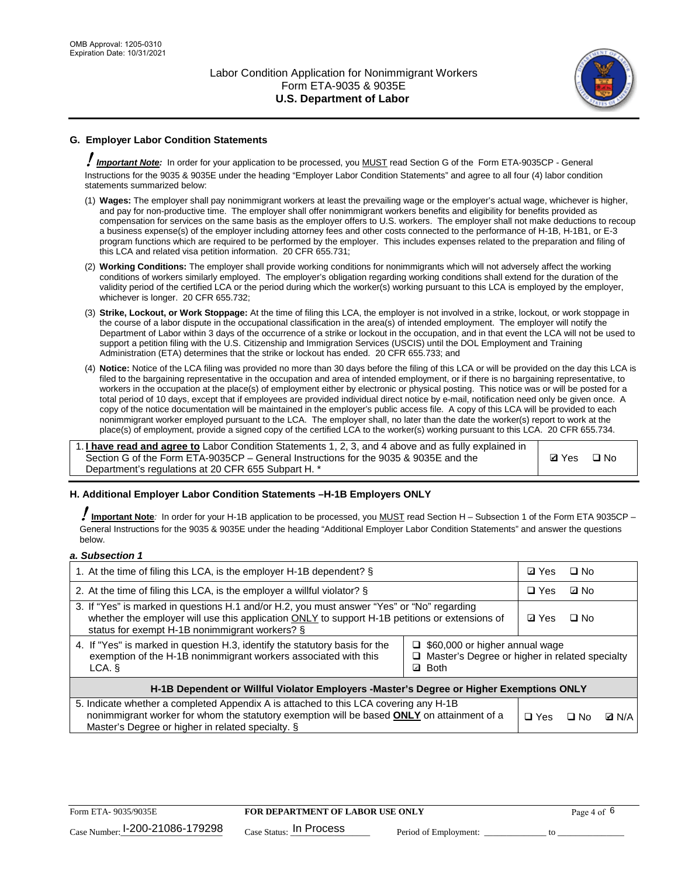

## **G. Employer Labor Condition Statements**

! *Important Note:* In order for your application to be processed, you MUST read Section G of the Form ETA-9035CP - General Instructions for the 9035 & 9035E under the heading "Employer Labor Condition Statements" and agree to all four (4) labor condition statements summarized below:

- (1) **Wages:** The employer shall pay nonimmigrant workers at least the prevailing wage or the employer's actual wage, whichever is higher, and pay for non-productive time. The employer shall offer nonimmigrant workers benefits and eligibility for benefits provided as compensation for services on the same basis as the employer offers to U.S. workers. The employer shall not make deductions to recoup a business expense(s) of the employer including attorney fees and other costs connected to the performance of H-1B, H-1B1, or E-3 program functions which are required to be performed by the employer. This includes expenses related to the preparation and filing of this LCA and related visa petition information. 20 CFR 655.731;
- (2) **Working Conditions:** The employer shall provide working conditions for nonimmigrants which will not adversely affect the working conditions of workers similarly employed. The employer's obligation regarding working conditions shall extend for the duration of the validity period of the certified LCA or the period during which the worker(s) working pursuant to this LCA is employed by the employer, whichever is longer. 20 CFR 655.732;
- (3) **Strike, Lockout, or Work Stoppage:** At the time of filing this LCA, the employer is not involved in a strike, lockout, or work stoppage in the course of a labor dispute in the occupational classification in the area(s) of intended employment. The employer will notify the Department of Labor within 3 days of the occurrence of a strike or lockout in the occupation, and in that event the LCA will not be used to support a petition filing with the U.S. Citizenship and Immigration Services (USCIS) until the DOL Employment and Training Administration (ETA) determines that the strike or lockout has ended. 20 CFR 655.733; and
- (4) **Notice:** Notice of the LCA filing was provided no more than 30 days before the filing of this LCA or will be provided on the day this LCA is filed to the bargaining representative in the occupation and area of intended employment, or if there is no bargaining representative, to workers in the occupation at the place(s) of employment either by electronic or physical posting. This notice was or will be posted for a total period of 10 days, except that if employees are provided individual direct notice by e-mail, notification need only be given once. A copy of the notice documentation will be maintained in the employer's public access file. A copy of this LCA will be provided to each nonimmigrant worker employed pursuant to the LCA. The employer shall, no later than the date the worker(s) report to work at the place(s) of employment, provide a signed copy of the certified LCA to the worker(s) working pursuant to this LCA. 20 CFR 655.734.

1. **I have read and agree to** Labor Condition Statements 1, 2, 3, and 4 above and as fully explained in Section G of the Form ETA-9035CP – General Instructions for the 9035 & 9035E and the Department's regulations at 20 CFR 655 Subpart H. \*

**Ø**Yes ロNo

### **H. Additional Employer Labor Condition Statements –H-1B Employers ONLY**

!**Important Note***:* In order for your H-1B application to be processed, you MUST read Section H – Subsection 1 of the Form ETA 9035CP – General Instructions for the 9035 & 9035E under the heading "Additional Employer Labor Condition Statements" and answer the questions below.

#### *a. Subsection 1*

| 1. At the time of filing this LCA, is the employer H-1B dependent? §                                                                                                                                                                                                      | ⊡ Yes        | $\square$ No |              |  |
|---------------------------------------------------------------------------------------------------------------------------------------------------------------------------------------------------------------------------------------------------------------------------|--------------|--------------|--------------|--|
| 2. At the time of filing this LCA, is the employer a willful violator? $\S$                                                                                                                                                                                               | $\Box$ Yes   | ⊡ No         |              |  |
| 3. If "Yes" is marked in questions H.1 and/or H.2, you must answer "Yes" or "No" regarding<br>whether the employer will use this application ONLY to support H-1B petitions or extensions of<br>status for exempt H-1B nonimmigrant workers? §                            | <b>☑</b> Yes | $\Box$ No    |              |  |
| 4. If "Yes" is marked in question H.3, identify the statutory basis for the<br>$\Box$ \$60,000 or higher annual wage<br>exemption of the H-1B nonimmigrant workers associated with this<br>□ Master's Degree or higher in related specialty<br><b>Both</b><br>LCA. §<br>☑ |              |              |              |  |
| H-1B Dependent or Willful Violator Employers -Master's Degree or Higher Exemptions ONLY                                                                                                                                                                                   |              |              |              |  |
| 5. Indicate whether a completed Appendix A is attached to this LCA covering any H-1B<br>nonimmigrant worker for whom the statutory exemption will be based <b>ONLY</b> on attainment of a<br>Master's Degree or higher in related specialty. §                            | $\Box$ Yes   | ⊟ No         | <b>Q</b> N/A |  |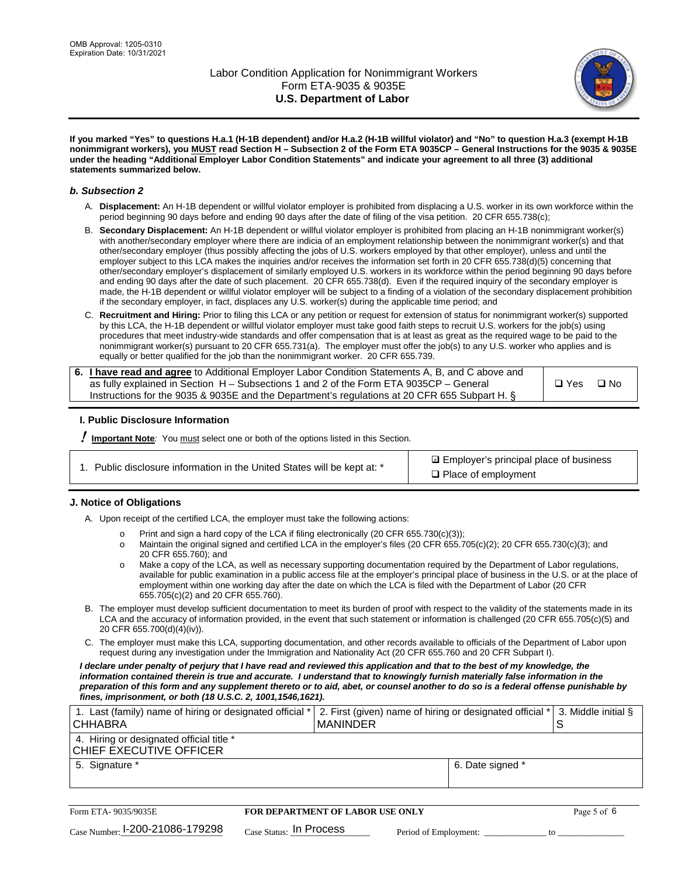

**If you marked "Yes" to questions H.a.1 (H-1B dependent) and/or H.a.2 (H-1B willful violator) and "No" to question H.a.3 (exempt H-1B nonimmigrant workers), you MUST read Section H – Subsection 2 of the Form ETA 9035CP – General Instructions for the 9035 & 9035E under the heading "Additional Employer Labor Condition Statements" and indicate your agreement to all three (3) additional statements summarized below.**

#### *b. Subsection 2*

- A. **Displacement:** An H-1B dependent or willful violator employer is prohibited from displacing a U.S. worker in its own workforce within the period beginning 90 days before and ending 90 days after the date of filing of the visa petition. 20 CFR 655.738(c);
- B. **Secondary Displacement:** An H-1B dependent or willful violator employer is prohibited from placing an H-1B nonimmigrant worker(s) with another/secondary employer where there are indicia of an employment relationship between the nonimmigrant worker(s) and that other/secondary employer (thus possibly affecting the jobs of U.S. workers employed by that other employer), unless and until the employer subject to this LCA makes the inquiries and/or receives the information set forth in 20 CFR 655.738(d)(5) concerning that other/secondary employer's displacement of similarly employed U.S. workers in its workforce within the period beginning 90 days before and ending 90 days after the date of such placement. 20 CFR 655.738(d). Even if the required inquiry of the secondary employer is made, the H-1B dependent or willful violator employer will be subject to a finding of a violation of the secondary displacement prohibition if the secondary employer, in fact, displaces any U.S. worker(s) during the applicable time period; and
- C. **Recruitment and Hiring:** Prior to filing this LCA or any petition or request for extension of status for nonimmigrant worker(s) supported by this LCA, the H-1B dependent or willful violator employer must take good faith steps to recruit U.S. workers for the job(s) using procedures that meet industry-wide standards and offer compensation that is at least as great as the required wage to be paid to the nonimmigrant worker(s) pursuant to 20 CFR 655.731(a). The employer must offer the job(s) to any U.S. worker who applies and is equally or better qualified for the job than the nonimmigrant worker. 20 CFR 655.739.

| 6. I have read and agree to Additional Employer Labor Condition Statements A, B, and C above and |       |           |
|--------------------------------------------------------------------------------------------------|-------|-----------|
| as fully explained in Section H – Subsections 1 and 2 of the Form ETA 9035CP – General           | □ Yes | $\Box$ No |
| Instructions for the 9035 & 9035E and the Department's regulations at 20 CFR 655 Subpart H. §    |       |           |

### **I. Public Disclosure Information**

! **Important Note***:* You must select one or both of the options listed in this Section.

| 1. Public disclosure information in the United States will be kept at: * |  |  |  |  |  |  |
|--------------------------------------------------------------------------|--|--|--|--|--|--|
|--------------------------------------------------------------------------|--|--|--|--|--|--|

**sqrt** Employer's principal place of business □ Place of employment

### **J. Notice of Obligations**

A. Upon receipt of the certified LCA, the employer must take the following actions:

- o Print and sign a hard copy of the LCA if filing electronically (20 CFR 655.730(c)(3));<br>
Maintain the original signed and certified LCA in the employer's files (20 CFR 655.7
- Maintain the original signed and certified LCA in the employer's files (20 CFR 655.705(c)(2); 20 CFR 655.730(c)(3); and 20 CFR 655.760); and
- o Make a copy of the LCA, as well as necessary supporting documentation required by the Department of Labor regulations, available for public examination in a public access file at the employer's principal place of business in the U.S. or at the place of employment within one working day after the date on which the LCA is filed with the Department of Labor (20 CFR 655.705(c)(2) and 20 CFR 655.760).
- B. The employer must develop sufficient documentation to meet its burden of proof with respect to the validity of the statements made in its LCA and the accuracy of information provided, in the event that such statement or information is challenged (20 CFR 655.705(c)(5) and 20 CFR 655.700(d)(4)(iv)).
- C. The employer must make this LCA, supporting documentation, and other records available to officials of the Department of Labor upon request during any investigation under the Immigration and Nationality Act (20 CFR 655.760 and 20 CFR Subpart I).

*I declare under penalty of perjury that I have read and reviewed this application and that to the best of my knowledge, the*  information contained therein is true and accurate. I understand that to knowingly furnish materially false information in the *preparation of this form and any supplement thereto or to aid, abet, or counsel another to do so is a federal offense punishable by fines, imprisonment, or both (18 U.S.C. 2, 1001,1546,1621).*

| 1. Last (family) name of hiring or designated official *<br><b>CHHABRA</b> |                           | I MANINDER                       |                       | 2. First (given) name of hiring or designated official * |    | 3. Middle initial § |
|----------------------------------------------------------------------------|---------------------------|----------------------------------|-----------------------|----------------------------------------------------------|----|---------------------|
| 4. Hiring or designated official title *<br>CHIEF EXECUTIVE OFFICER        |                           |                                  |                       |                                                          |    |                     |
| 5. Signature *                                                             |                           |                                  |                       | 6. Date signed *                                         |    |                     |
|                                                                            |                           |                                  |                       |                                                          |    |                     |
| Form ETA- 9035/9035E                                                       |                           | FOR DEPARTMENT OF LABOR USE ONLY |                       |                                                          |    | Page 5 of 6         |
| $_{\rm Case\; Number:}$ 1-200-21086-179298                                 | $Case$ Status: In Process |                                  | Period of Employment: |                                                          | tο |                     |

| Form ETA-9035/9035E                         | <b>FOR DEPARTMENT OF LABOR USE ONLY</b> | Page 5 of 6           |  |
|---------------------------------------------|-----------------------------------------|-----------------------|--|
| $_{\text{Case Number:}}$ I-200-21086-179298 | $_{Case\; Status:}$ In Process          | Period of Employment: |  |